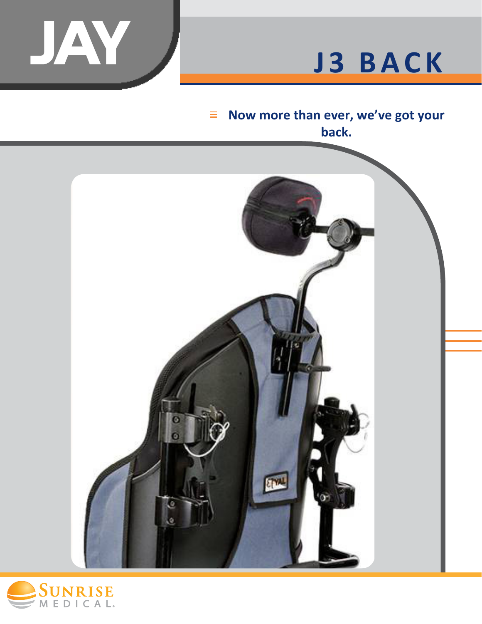

# **J3 BACK**

#### **Now more than ever, we've got your**   $\equiv$ **back.**